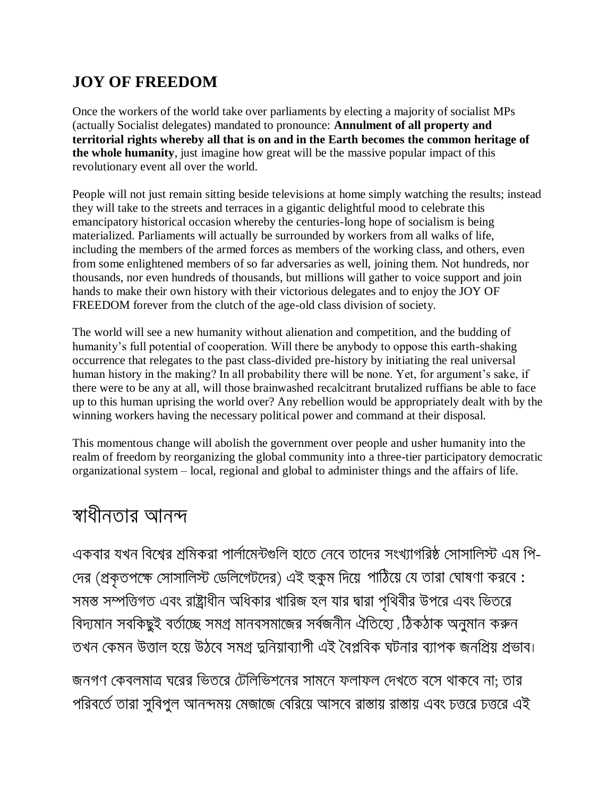## **JOY OF FREEDOM**

Once the workers of the world take over parliaments by electing a majority of socialist MPs (actually Socialist delegates) mandated to pronounce: **Annulment of all property and territorial rights whereby all that is on and in the Earth becomes the common heritage of the whole humanity**, just imagine how great will be the massive popular impact of this revolutionary event all over the world.

People will not just remain sitting beside televisions at home simply watching the results; instead they will take to the streets and terraces in a gigantic delightful mood to celebrate this emancipatory historical occasion whereby the centuries-long hope of socialism is being materialized. Parliaments will actually be surrounded by workers from all walks of life, including the members of the armed forces as members of the working class, and others, even from some enlightened members of so far adversaries as well, joining them. Not hundreds, nor thousands, nor even hundreds of thousands, but millions will gather to voice support and join hands to make their own history with their victorious delegates and to enjoy the JOY OF FREEDOM forever from the clutch of the age-old class division of society.

The world will see a new humanity without alienation and competition, and the budding of humanity's full potential of cooperation. Will there be anybody to oppose this earth-shaking occurrence that relegates to the past class-divided pre-history by initiating the real universal human history in the making? In all probability there will be none. Yet, for argument's sake, if there were to be any at all, will those brainwashed recalcitrant brutalized ruffians be able to face up to this human uprising the world over? Any rebellion would be appropriately dealt with by the winning workers having the necessary political power and command at their disposal.

This momentous change will abolish the government over people and usher humanity into the realm of freedom by reorganizing the global community into a three-tier participatory democratic organizational system – local, regional and global to administer things and the affairs of life.

## স্বাধীনতার আনন্দ

একবার যখন বিশ্বের শ্রমিকরা পার্লামেন্টগুলি হাতে নেবে তাদের সংখ্যাগরিষ্ঠ সোসালিস্ট এম পি-দের (প্রকৃতপক্ষে সোসালিস্ট ডেলিগেটদের) এই হুকুম দিয়ে পাঠিয়ে যে তারা ঘোষণা করবে : সমস্ত সম্পত্তিগত এবং রাষ্ট্রাধীন অধিকার খারিজ হল যার দ্বারা পৃথিবীর উপরে এবং ভিতরে বিদ্যমান সবকিছুই বৰ্তাচ্ছে সমগ্ৰ মানবসমাজের সৰ্বজনীন ঐতিহ্যে , ঠিকঠাক অনুমান করুন তখন কেমন উত্তাল হয়ে উঠবে সমগ্ৰ দ্বনিয়াব্যাপী এই বৈপ্লবিক ঘটনার ব্যাপক জনপ্রিয় প্রভাব।

জনগণ কেবলমাত্র ঘরের ভিতরে টেলিভিশনের সামনে ফলাফল দেখতে বসে থাকবে না: তার পরিবর্তে তারা সুবিপুল আনন্দময় মেজাজে বেরিয়ে আসবে রাস্তায় রাস্তায় এবং চত্তরে চত্তরে এই